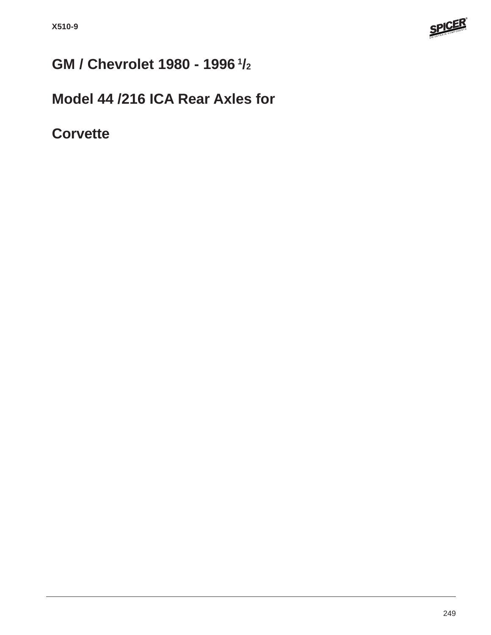

# **GM / Chevrolet 1980 - 1996 1/2**

## **Model 44 /216 ICA Rear Axles for**

**Corvette**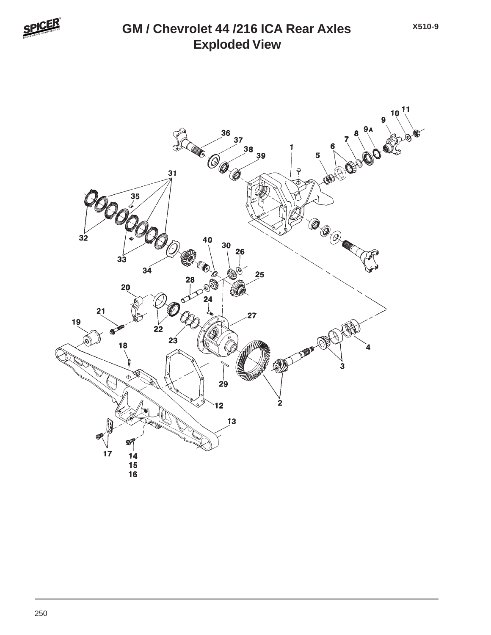

#### **Exploded View GM / Chevrolet 44 /216 ICA Rear Axles**

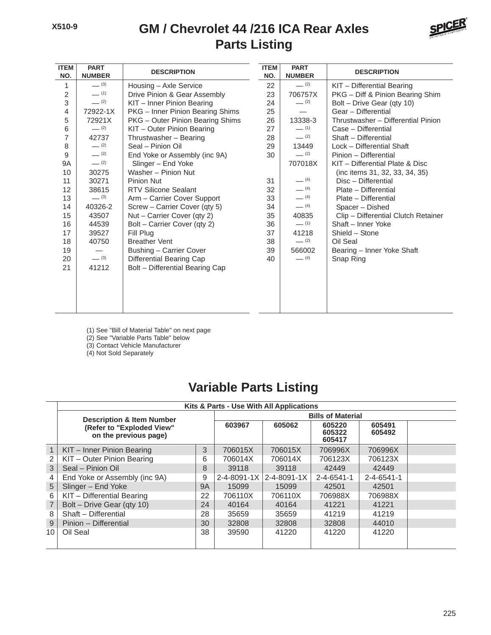#### **Parts Listing GM / Chevrolet 44 /216 ICA Rear Axles**



| <b>ITEM</b><br>NO. | <b>PART</b><br><b>NUMBER</b> | <b>DESCRIPTION</b>               | <b>ITEM</b><br>NO. | <b>PART</b><br><b>NUMBER</b> | <b>DESCRIPTION</b>                  |
|--------------------|------------------------------|----------------------------------|--------------------|------------------------------|-------------------------------------|
| 1                  | $- (3)$                      | Housing - Axle Service           | 22                 | $-$ (2)                      | KIT - Differential Bearing          |
| $\mathbf 2$        | $-$ (1)                      | Drive Pinion & Gear Assembly     | 23                 | 706757X                      | PKG - Diff & Pinion Bearing Shim    |
| 3                  | $- (2)$                      | KIT - Inner Pinion Bearing       | 24                 | $- (2)$                      | Bolt - Drive Gear (qty 10)          |
| 4                  | 72922-1X                     | PKG - Inner Pinion Bearing Shims | 25                 |                              | Gear - Differential                 |
| 5                  | 72921X                       | PKG - Outer Pinion Bearing Shims | 26                 | 13338-3                      | Thrustwasher - Differential Pinion  |
| 6                  | $- (2)$                      | KIT - Outer Pinion Bearing       | 27                 | $-$ (1)                      | Case - Differential                 |
| 7                  | 42737                        | Thrustwasher - Bearing           | 28                 | $-$ (2)                      | Shaft - Differential                |
| 8                  | $-$ (2)                      | Seal - Pinion Oil                | 29                 | 13449                        | Lock - Differential Shaft           |
| 9                  | $-$ (2)                      | End Yoke or Assembly (inc 9A)    | 30                 | $-$ (2)                      | Pinion - Differential               |
| <b>9A</b>          | $- (2)$                      | Slinger - End Yoke               |                    | 707018X                      | KIT - Differential Plate & Disc     |
| 10                 | 30275                        | Washer - Pinion Nut              |                    |                              | (inc items 31, 32, 33, 34, 35)      |
| 11                 | 30271                        | Pinion Nut                       | 31                 | $- (4)$                      | Disc - Differential                 |
| 12                 | 38615                        | <b>RTV Silicone Sealant</b>      | 32                 | $- (4)$                      | Plate - Differential                |
| 13                 | $- (3)$                      | Arm - Carrier Cover Support      | 33                 | $- (4)$                      | Plate - Differential                |
| 14                 | 40326-2                      | Screw - Carrier Cover (qty 5)    | 34                 | $- (4)$                      | Spacer - Dished                     |
| 15                 | 43507                        | Nut - Carrier Cover (qty 2)      | 35                 | 40835                        | Clip - Differential Clutch Retainer |
| 16                 | 44539                        | Bolt - Carrier Cover (qty 2)     | 36                 | $-$ (1)                      | Shaft - Inner Yoke                  |
| 17                 | 39527                        | Fill Plug                        | 37                 | 41218                        | Shield - Stone                      |
| 18                 | 40750                        | <b>Breather Vent</b>             | 38                 | $- (2)$                      | Oil Seal                            |
| 19                 |                              | Bushing - Carrier Cover          | 39                 | 566002                       | Bearing - Inner Yoke Shaft          |
| 20                 | $- (3)$                      | Differential Bearing Cap         | 40                 | $- (4)$                      | Snap Ring                           |
| 21                 | 41212                        | Bolt - Differential Bearing Cap  |                    |                              |                                     |
|                    |                              |                                  |                    |                              |                                     |
|                    |                              |                                  |                    |                              |                                     |
|                    |                              |                                  |                    |                              |                                     |
|                    |                              |                                  |                    |                              |                                     |

(1) See "Bill of Material Table" on next page

(2) See "Variable Parts Table" below

(3) Contact Vehicle Manufacturer

(4) Not Sold Separately

### **Variable Parts Listing**

|              | Kits & Parts - Use With All Applications           |                          |             |                            |                    |                    |  |  |  |  |  |
|--------------|----------------------------------------------------|--------------------------|-------------|----------------------------|--------------------|--------------------|--|--|--|--|--|
|              | <b>Description &amp; Item Number</b>               | <b>Bills of Material</b> |             |                            |                    |                    |  |  |  |  |  |
|              | (Refer to "Exploded View"<br>on the previous page) | 603967                   | 605062      | 605220<br>605322<br>605417 | 605491<br>605492   |                    |  |  |  |  |  |
| $\mathbf{1}$ | KIT - Inner Pinion Bearing                         | 3                        | 706015X     | 706015X                    | 706996X            | 706996X            |  |  |  |  |  |
|              | KIT - Outer Pinion Bearing                         | 6                        | 706014X     | 706014X                    | 706123X            | 706123X            |  |  |  |  |  |
| 3            | Seal - Pinion Oil                                  | 8                        | 39118       | 39118                      | 42449              | 42449              |  |  |  |  |  |
|              | End Yoke or Assembly (inc 9A)                      | 9                        | 2-4-8091-1X | $2 - 4 - 8091 - 1X$        | $2 - 4 - 6541 - 1$ | $2 - 4 - 6541 - 1$ |  |  |  |  |  |
| 5            | Slinger - End Yoke                                 | <b>9A</b>                | 15099       | 15099                      | 42501              | 42501              |  |  |  |  |  |
| 6            | KIT - Differential Bearing                         | 22                       | 706110X     | 706110X                    | 706988X            | 706988X            |  |  |  |  |  |
| 7            | Bolt - Drive Gear (qty 10)                         | 24                       | 40164       | 40164                      | 41221              | 41221              |  |  |  |  |  |
| 8            | Shaft - Differential                               | 28                       | 35659       | 35659                      | 41219              | 41219              |  |  |  |  |  |
| 9            | Pinion - Differential                              | 30                       | 32808       | 32808                      | 32808              | 44010              |  |  |  |  |  |
| 10           | Oil Seal                                           | 38                       | 39590       | 41220                      | 41220              | 41220              |  |  |  |  |  |